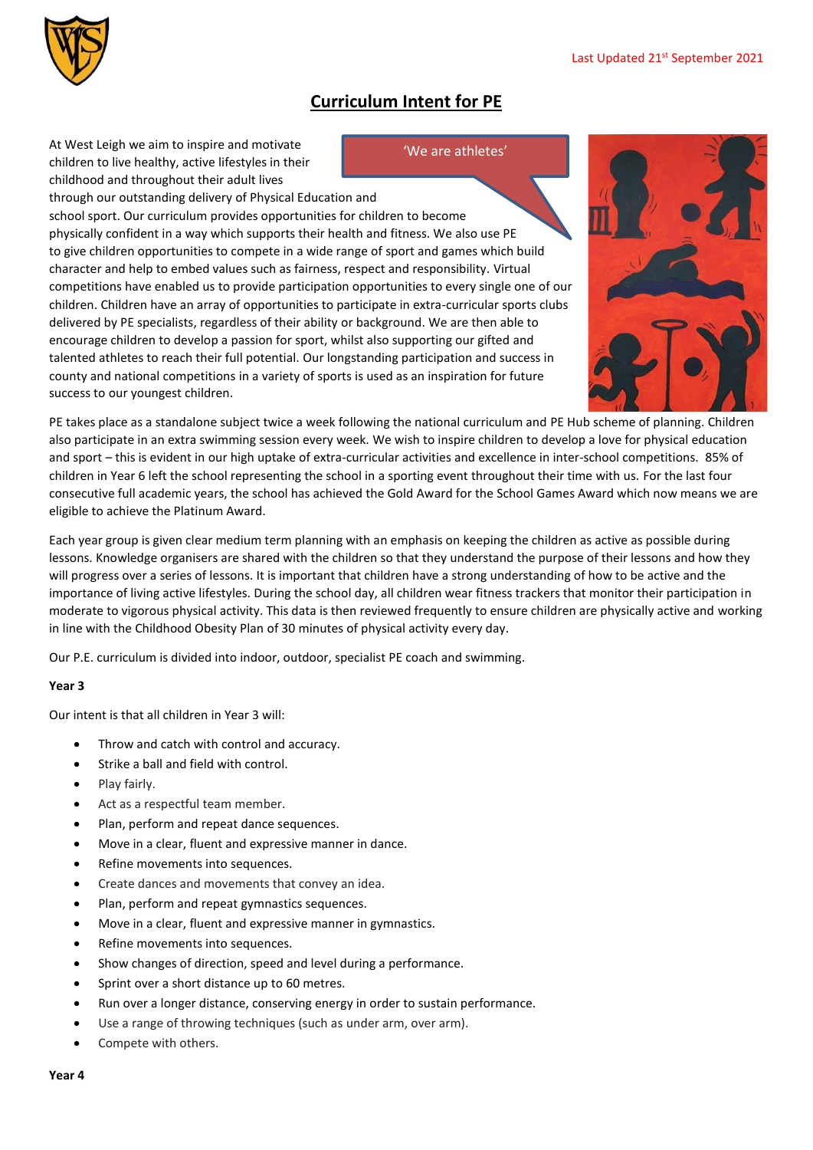

## **Curriculum Intent for PE**

'We are athletes'

At West Leigh we aim to inspire and motivate children to live healthy, active lifestyles in their childhood and throughout their adult lives

through our outstanding delivery of Physical Education and school sport. Our curriculum provides opportunities for children to become physically confident in a way which supports their health and fitness. We also use PE to give children opportunities to compete in a wide range of sport and games which build character and help to embed values such as fairness, respect and responsibility. Virtual competitions have enabled us to provide participation opportunities to every single one of our children. Children have an array of opportunities to participate in extra-curricular sports clubs delivered by PE specialists, regardless of their ability or background. We are then able to encourage children to develop a passion for sport, whilst also supporting our gifted and talented athletes to reach their full potential. Our longstanding participation and success in county and national competitions in a variety of sports is used as an inspiration for future success to our youngest children.



PE takes place as a standalone subject twice a week following the national curriculum and PE Hub scheme of planning. Children also participate in an extra swimming session every week. We wish to inspire children to develop a love for physical education and sport – this is evident in our high uptake of extra-curricular activities and excellence in inter-school competitions. 85% of children in Year 6 left the school representing the school in a sporting event throughout their time with us. For the last four consecutive full academic years, the school has achieved the Gold Award for the School Games Award which now means we are eligible to achieve the Platinum Award.

Each year group is given clear medium term planning with an emphasis on keeping the children as active as possible during lessons. Knowledge organisers are shared with the children so that they understand the purpose of their lessons and how they will progress over a series of lessons. It is important that children have a strong understanding of how to be active and the importance of living active lifestyles. During the school day, all children wear fitness trackers that monitor their participation in moderate to vigorous physical activity. This data is then reviewed frequently to ensure children are physically active and working in line with the Childhood Obesity Plan of 30 minutes of physical activity every day.

Our P.E. curriculum is divided into indoor, outdoor, specialist PE coach and swimming.

## **Year 3**

Our intent is that all children in Year 3 will:

- Throw and catch with control and accuracy.
- Strike a ball and field with control.
- Play fairly.
- Act as a respectful team member.
- Plan, perform and repeat dance sequences.
- Move in a clear, fluent and expressive manner in dance.
- Refine movements into sequences.
- Create dances and movements that convey an idea.
- Plan, perform and repeat gymnastics sequences.
- Move in a clear, fluent and expressive manner in gymnastics.
- Refine movements into sequences.
- Show changes of direction, speed and level during a performance.
- Sprint over a short distance up to 60 metres.
- Run over a longer distance, conserving energy in order to sustain performance.
- Use a range of throwing techniques (such as under arm, over arm).
- Compete with others.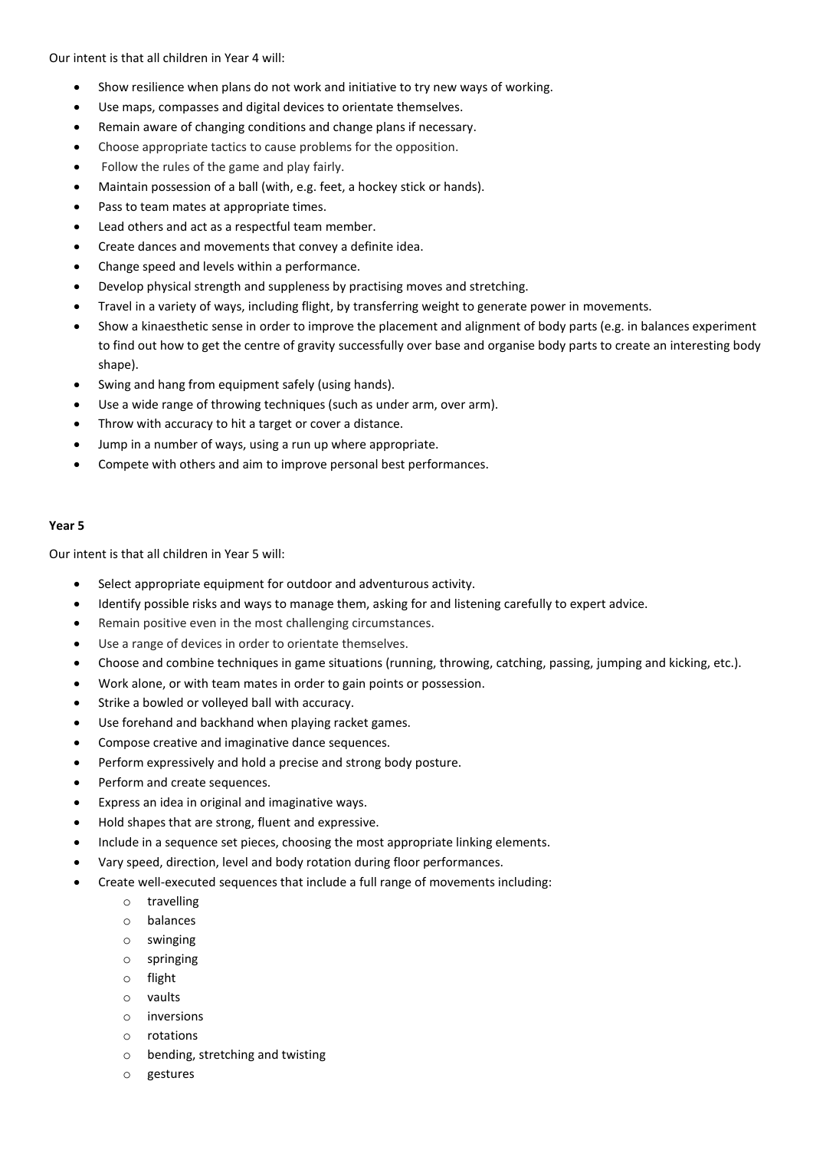Our intent is that all children in Year 4 will:

- Show resilience when plans do not work and initiative to try new ways of working.
- Use maps, compasses and digital devices to orientate themselves.
- Remain aware of changing conditions and change plans if necessary.
- Choose appropriate tactics to cause problems for the opposition.
- Follow the rules of the game and play fairly.
- Maintain possession of a ball (with, e.g. feet, a hockey stick or hands).
- Pass to team mates at appropriate times.
- Lead others and act as a respectful team member.
- Create dances and movements that convey a definite idea.
- Change speed and levels within a performance.
- Develop physical strength and suppleness by practising moves and stretching.
- Travel in a variety of ways, including flight, by transferring weight to generate power in movements.
- Show a kinaesthetic sense in order to improve the placement and alignment of body parts (e.g. in balances experiment to find out how to get the centre of gravity successfully over base and organise body parts to create an interesting body shape).
- Swing and hang from equipment safely (using hands).
- Use a wide range of throwing techniques (such as under arm, over arm).
- Throw with accuracy to hit a target or cover a distance.
- Jump in a number of ways, using a run up where appropriate.
- Compete with others and aim to improve personal best performances.

## **Year 5**

Our intent is that all children in Year 5 will:

- Select appropriate equipment for outdoor and adventurous activity.
- Identify possible risks and ways to manage them, asking for and listening carefully to expert advice.
- Remain positive even in the most challenging circumstances.
- Use a range of devices in order to orientate themselves.
- Choose and combine techniques in game situations (running, throwing, catching, passing, jumping and kicking, etc.).
- Work alone, or with team mates in order to gain points or possession.
- Strike a bowled or volleyed ball with accuracy.
- Use forehand and backhand when playing racket games.
- Compose creative and imaginative dance sequences.
- Perform expressively and hold a precise and strong body posture.
- Perform and create sequences.
- Express an idea in original and imaginative ways.
- Hold shapes that are strong, fluent and expressive.
- Include in a sequence set pieces, choosing the most appropriate linking elements.
- Vary speed, direction, level and body rotation during floor performances.
- Create well-executed sequences that include a full range of movements including:
	- o travelling
	- o balances
	- o swinging
	- o springing
	- o flight
	- o vaults
	- o inversions
	- o rotations
	- o bending, stretching and twisting
	- o gestures